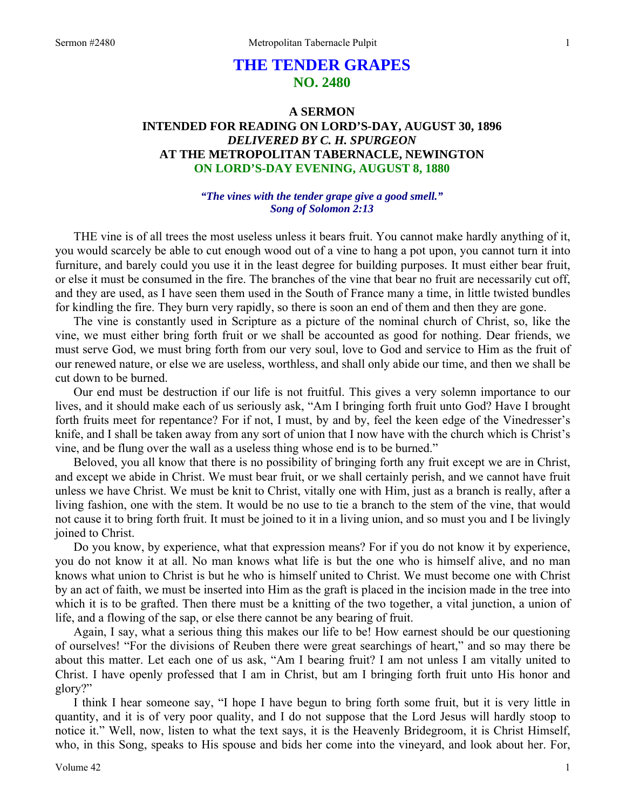# **THE TENDER GRAPES NO. 2480**

# **A SERMON INTENDED FOR READING ON LORD'S-DAY, AUGUST 30, 1896**  *DELIVERED BY C. H. SPURGEON*  **AT THE METROPOLITAN TABERNACLE, NEWINGTON ON LORD'S-DAY EVENING, AUGUST 8, 1880**

### *"The vines with the tender grape give a good smell." Song of Solomon 2:13*

THE vine is of all trees the most useless unless it bears fruit. You cannot make hardly anything of it, you would scarcely be able to cut enough wood out of a vine to hang a pot upon, you cannot turn it into furniture, and barely could you use it in the least degree for building purposes. It must either bear fruit, or else it must be consumed in the fire. The branches of the vine that bear no fruit are necessarily cut off, and they are used, as I have seen them used in the South of France many a time, in little twisted bundles for kindling the fire. They burn very rapidly, so there is soon an end of them and then they are gone.

The vine is constantly used in Scripture as a picture of the nominal church of Christ, so, like the vine, we must either bring forth fruit or we shall be accounted as good for nothing. Dear friends, we must serve God, we must bring forth from our very soul, love to God and service to Him as the fruit of our renewed nature, or else we are useless, worthless, and shall only abide our time, and then we shall be cut down to be burned.

Our end must be destruction if our life is not fruitful. This gives a very solemn importance to our lives, and it should make each of us seriously ask, "Am I bringing forth fruit unto God? Have I brought forth fruits meet for repentance? For if not, I must, by and by, feel the keen edge of the Vinedresser's knife, and I shall be taken away from any sort of union that I now have with the church which is Christ's vine, and be flung over the wall as a useless thing whose end is to be burned."

Beloved, you all know that there is no possibility of bringing forth any fruit except we are in Christ, and except we abide in Christ. We must bear fruit, or we shall certainly perish, and we cannot have fruit unless we have Christ. We must be knit to Christ, vitally one with Him, just as a branch is really, after a living fashion, one with the stem. It would be no use to tie a branch to the stem of the vine, that would not cause it to bring forth fruit. It must be joined to it in a living union, and so must you and I be livingly joined to Christ.

Do you know, by experience, what that expression means? For if you do not know it by experience, you do not know it at all. No man knows what life is but the one who is himself alive, and no man knows what union to Christ is but he who is himself united to Christ. We must become one with Christ by an act of faith, we must be inserted into Him as the graft is placed in the incision made in the tree into which it is to be grafted. Then there must be a knitting of the two together, a vital junction, a union of life, and a flowing of the sap, or else there cannot be any bearing of fruit.

Again, I say, what a serious thing this makes our life to be! How earnest should be our questioning of ourselves! "For the divisions of Reuben there were great searchings of heart," and so may there be about this matter. Let each one of us ask, "Am I bearing fruit? I am not unless I am vitally united to Christ. I have openly professed that I am in Christ, but am I bringing forth fruit unto His honor and glory?"

I think I hear someone say, "I hope I have begun to bring forth some fruit, but it is very little in quantity, and it is of very poor quality, and I do not suppose that the Lord Jesus will hardly stoop to notice it." Well, now, listen to what the text says, it is the Heavenly Bridegroom, it is Christ Himself, who, in this Song, speaks to His spouse and bids her come into the vineyard, and look about her. For,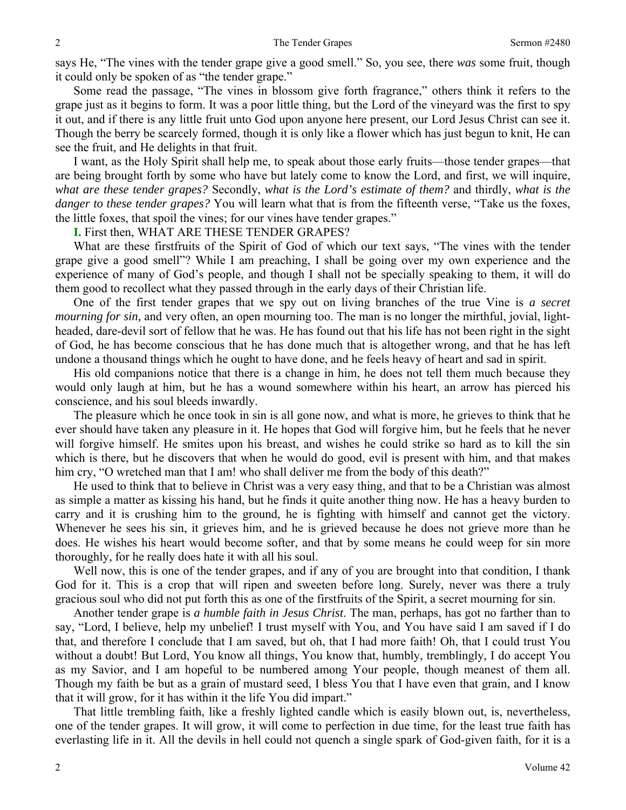says He, "The vines with the tender grape give a good smell." So, you see, there *was* some fruit, though it could only be spoken of as "the tender grape."

Some read the passage, "The vines in blossom give forth fragrance," others think it refers to the grape just as it begins to form. It was a poor little thing, but the Lord of the vineyard was the first to spy it out, and if there is any little fruit unto God upon anyone here present, our Lord Jesus Christ can see it. Though the berry be scarcely formed, though it is only like a flower which has just begun to knit, He can see the fruit, and He delights in that fruit.

I want, as the Holy Spirit shall help me, to speak about those early fruits—those tender grapes—that are being brought forth by some who have but lately come to know the Lord, and first, we will inquire, *what are these tender grapes?* Secondly, *what is the Lord's estimate of them?* and thirdly, *what is the danger to these tender grapes?* You will learn what that is from the fifteenth verse, "Take us the foxes, the little foxes, that spoil the vines; for our vines have tender grapes."

**I.** First then, WHAT ARE THESE TENDER GRAPES?

What are these firstfruits of the Spirit of God of which our text says, "The vines with the tender grape give a good smell"? While I am preaching, I shall be going over my own experience and the experience of many of God's people, and though I shall not be specially speaking to them, it will do them good to recollect what they passed through in the early days of their Christian life.

One of the first tender grapes that we spy out on living branches of the true Vine is *a secret mourning for sin,* and very often, an open mourning too. The man is no longer the mirthful, jovial, lightheaded, dare-devil sort of fellow that he was. He has found out that his life has not been right in the sight of God, he has become conscious that he has done much that is altogether wrong, and that he has left undone a thousand things which he ought to have done, and he feels heavy of heart and sad in spirit.

His old companions notice that there is a change in him, he does not tell them much because they would only laugh at him, but he has a wound somewhere within his heart, an arrow has pierced his conscience, and his soul bleeds inwardly.

The pleasure which he once took in sin is all gone now, and what is more, he grieves to think that he ever should have taken any pleasure in it. He hopes that God will forgive him, but he feels that he never will forgive himself. He smites upon his breast, and wishes he could strike so hard as to kill the sin which is there, but he discovers that when he would do good, evil is present with him, and that makes him cry, "O wretched man that I am! who shall deliver me from the body of this death?"

He used to think that to believe in Christ was a very easy thing, and that to be a Christian was almost as simple a matter as kissing his hand, but he finds it quite another thing now. He has a heavy burden to carry and it is crushing him to the ground, he is fighting with himself and cannot get the victory. Whenever he sees his sin, it grieves him, and he is grieved because he does not grieve more than he does. He wishes his heart would become softer, and that by some means he could weep for sin more thoroughly, for he really does hate it with all his soul.

Well now, this is one of the tender grapes, and if any of you are brought into that condition, I thank God for it. This is a crop that will ripen and sweeten before long. Surely, never was there a truly gracious soul who did not put forth this as one of the firstfruits of the Spirit, a secret mourning for sin.

Another tender grape is *a humble faith in Jesus Christ*. The man, perhaps, has got no farther than to say, "Lord, I believe, help my unbelief! I trust myself with You, and You have said I am saved if I do that, and therefore I conclude that I am saved, but oh, that I had more faith! Oh, that I could trust You without a doubt! But Lord, You know all things, You know that, humbly, tremblingly, I do accept You as my Savior, and I am hopeful to be numbered among Your people, though meanest of them all. Though my faith be but as a grain of mustard seed, I bless You that I have even that grain, and I know that it will grow, for it has within it the life You did impart."

That little trembling faith, like a freshly lighted candle which is easily blown out, is, nevertheless, one of the tender grapes. It will grow, it will come to perfection in due time, for the least true faith has everlasting life in it. All the devils in hell could not quench a single spark of God-given faith, for it is a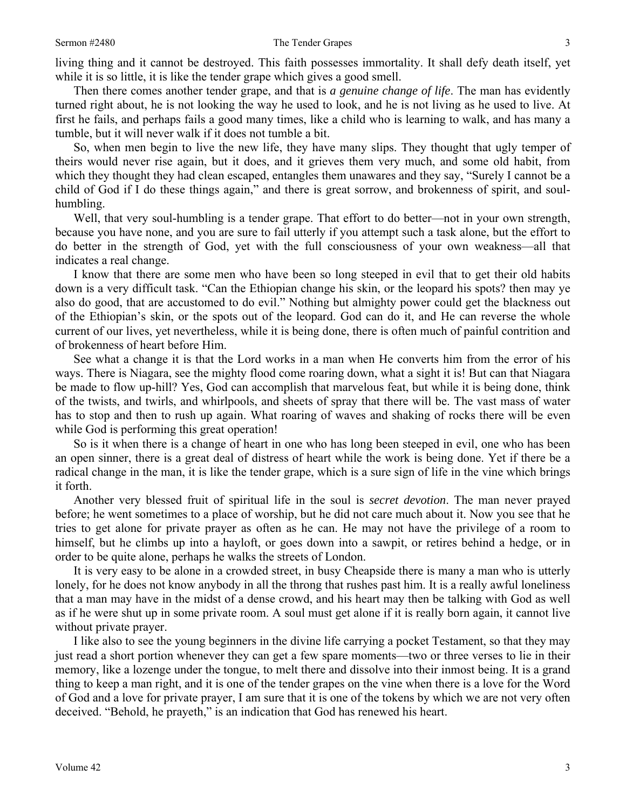living thing and it cannot be destroyed. This faith possesses immortality. It shall defy death itself, yet while it is so little, it is like the tender grape which gives a good smell.

Then there comes another tender grape, and that is *a genuine change of life*. The man has evidently turned right about, he is not looking the way he used to look, and he is not living as he used to live. At first he fails, and perhaps fails a good many times, like a child who is learning to walk, and has many a tumble, but it will never walk if it does not tumble a bit.

So, when men begin to live the new life, they have many slips. They thought that ugly temper of theirs would never rise again, but it does, and it grieves them very much, and some old habit, from which they thought they had clean escaped, entangles them unawares and they say, "Surely I cannot be a child of God if I do these things again," and there is great sorrow, and brokenness of spirit, and soulhumbling.

Well, that very soul-humbling is a tender grape. That effort to do better—not in your own strength, because you have none, and you are sure to fail utterly if you attempt such a task alone, but the effort to do better in the strength of God, yet with the full consciousness of your own weakness—all that indicates a real change.

I know that there are some men who have been so long steeped in evil that to get their old habits down is a very difficult task. "Can the Ethiopian change his skin, or the leopard his spots? then may ye also do good, that are accustomed to do evil." Nothing but almighty power could get the blackness out of the Ethiopian's skin, or the spots out of the leopard. God can do it, and He can reverse the whole current of our lives, yet nevertheless, while it is being done, there is often much of painful contrition and of brokenness of heart before Him.

See what a change it is that the Lord works in a man when He converts him from the error of his ways. There is Niagara, see the mighty flood come roaring down, what a sight it is! But can that Niagara be made to flow up-hill? Yes, God can accomplish that marvelous feat, but while it is being done, think of the twists, and twirls, and whirlpools, and sheets of spray that there will be. The vast mass of water has to stop and then to rush up again. What roaring of waves and shaking of rocks there will be even while God is performing this great operation!

So is it when there is a change of heart in one who has long been steeped in evil, one who has been an open sinner, there is a great deal of distress of heart while the work is being done. Yet if there be a radical change in the man, it is like the tender grape, which is a sure sign of life in the vine which brings it forth.

Another very blessed fruit of spiritual life in the soul is *secret devotion*. The man never prayed before; he went sometimes to a place of worship, but he did not care much about it. Now you see that he tries to get alone for private prayer as often as he can. He may not have the privilege of a room to himself, but he climbs up into a hayloft, or goes down into a sawpit, or retires behind a hedge, or in order to be quite alone, perhaps he walks the streets of London.

It is very easy to be alone in a crowded street, in busy Cheapside there is many a man who is utterly lonely, for he does not know anybody in all the throng that rushes past him. It is a really awful loneliness that a man may have in the midst of a dense crowd, and his heart may then be talking with God as well as if he were shut up in some private room. A soul must get alone if it is really born again, it cannot live without private prayer.

I like also to see the young beginners in the divine life carrying a pocket Testament, so that they may just read a short portion whenever they can get a few spare moments—two or three verses to lie in their memory, like a lozenge under the tongue, to melt there and dissolve into their inmost being. It is a grand thing to keep a man right, and it is one of the tender grapes on the vine when there is a love for the Word of God and a love for private prayer, I am sure that it is one of the tokens by which we are not very often deceived. "Behold, he prayeth," is an indication that God has renewed his heart.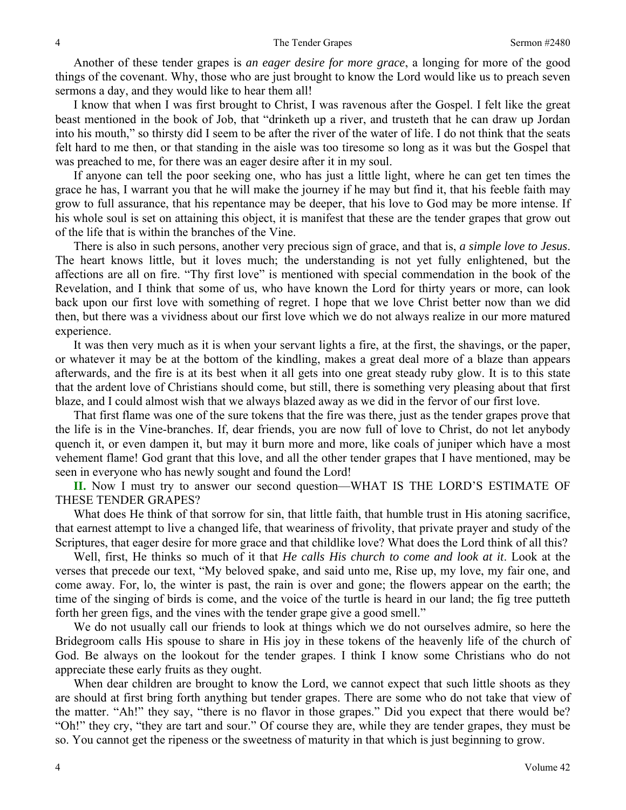Another of these tender grapes is *an eager desire for more grace*, a longing for more of the good things of the covenant. Why, those who are just brought to know the Lord would like us to preach seven sermons a day, and they would like to hear them all!

I know that when I was first brought to Christ, I was ravenous after the Gospel. I felt like the great beast mentioned in the book of Job, that "drinketh up a river, and trusteth that he can draw up Jordan into his mouth," so thirsty did I seem to be after the river of the water of life. I do not think that the seats felt hard to me then, or that standing in the aisle was too tiresome so long as it was but the Gospel that was preached to me, for there was an eager desire after it in my soul.

If anyone can tell the poor seeking one, who has just a little light, where he can get ten times the grace he has, I warrant you that he will make the journey if he may but find it, that his feeble faith may grow to full assurance, that his repentance may be deeper, that his love to God may be more intense. If his whole soul is set on attaining this object, it is manifest that these are the tender grapes that grow out of the life that is within the branches of the Vine.

There is also in such persons, another very precious sign of grace, and that is, *a simple love to Jesus*. The heart knows little, but it loves much; the understanding is not yet fully enlightened, but the affections are all on fire. "Thy first love" is mentioned with special commendation in the book of the Revelation, and I think that some of us, who have known the Lord for thirty years or more, can look back upon our first love with something of regret. I hope that we love Christ better now than we did then, but there was a vividness about our first love which we do not always realize in our more matured experience.

It was then very much as it is when your servant lights a fire, at the first, the shavings, or the paper, or whatever it may be at the bottom of the kindling, makes a great deal more of a blaze than appears afterwards, and the fire is at its best when it all gets into one great steady ruby glow. It is to this state that the ardent love of Christians should come, but still, there is something very pleasing about that first blaze, and I could almost wish that we always blazed away as we did in the fervor of our first love.

That first flame was one of the sure tokens that the fire was there, just as the tender grapes prove that the life is in the Vine-branches. If, dear friends, you are now full of love to Christ, do not let anybody quench it, or even dampen it, but may it burn more and more, like coals of juniper which have a most vehement flame! God grant that this love, and all the other tender grapes that I have mentioned, may be seen in everyone who has newly sought and found the Lord!

**II.** Now I must try to answer our second question—WHAT IS THE LORD'S ESTIMATE OF THESE TENDER GRAPES?

What does He think of that sorrow for sin, that little faith, that humble trust in His atoning sacrifice, that earnest attempt to live a changed life, that weariness of frivolity, that private prayer and study of the Scriptures, that eager desire for more grace and that childlike love? What does the Lord think of all this?

Well, first, He thinks so much of it that *He calls His church to come and look at it*. Look at the verses that precede our text, "My beloved spake, and said unto me, Rise up, my love, my fair one, and come away. For, lo, the winter is past, the rain is over and gone; the flowers appear on the earth; the time of the singing of birds is come, and the voice of the turtle is heard in our land; the fig tree putteth forth her green figs, and the vines with the tender grape give a good smell."

We do not usually call our friends to look at things which we do not ourselves admire, so here the Bridegroom calls His spouse to share in His joy in these tokens of the heavenly life of the church of God. Be always on the lookout for the tender grapes. I think I know some Christians who do not appreciate these early fruits as they ought.

When dear children are brought to know the Lord, we cannot expect that such little shoots as they are should at first bring forth anything but tender grapes. There are some who do not take that view of the matter. "Ah!" they say, "there is no flavor in those grapes." Did you expect that there would be? "Oh!" they cry, "they are tart and sour." Of course they are, while they are tender grapes, they must be so. You cannot get the ripeness or the sweetness of maturity in that which is just beginning to grow.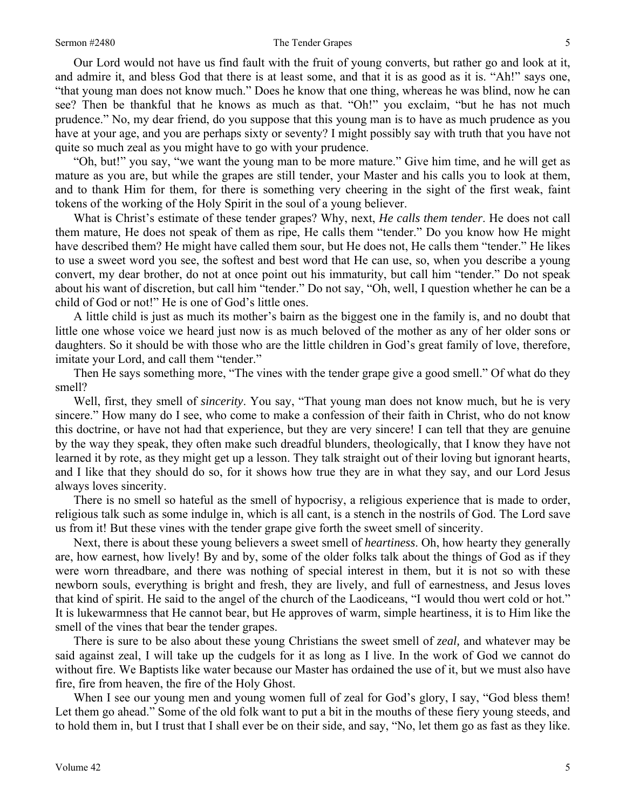#### Sermon #2480 5

Our Lord would not have us find fault with the fruit of young converts, but rather go and look at it, and admire it, and bless God that there is at least some, and that it is as good as it is. "Ah!" says one, "that young man does not know much." Does he know that one thing, whereas he was blind, now he can see? Then be thankful that he knows as much as that. "Oh!" you exclaim, "but he has not much prudence." No, my dear friend, do you suppose that this young man is to have as much prudence as you have at your age, and you are perhaps sixty or seventy? I might possibly say with truth that you have not quite so much zeal as you might have to go with your prudence.

"Oh, but!" you say, "we want the young man to be more mature." Give him time, and he will get as mature as you are, but while the grapes are still tender, your Master and his calls you to look at them, and to thank Him for them, for there is something very cheering in the sight of the first weak, faint tokens of the working of the Holy Spirit in the soul of a young believer.

What is Christ's estimate of these tender grapes? Why, next, *He calls them tender*. He does not call them mature, He does not speak of them as ripe, He calls them "tender." Do you know how He might have described them? He might have called them sour, but He does not, He calls them "tender." He likes to use a sweet word you see, the softest and best word that He can use, so, when you describe a young convert, my dear brother, do not at once point out his immaturity, but call him "tender." Do not speak about his want of discretion, but call him "tender." Do not say, "Oh, well, I question whether he can be a child of God or not!" He is one of God's little ones.

A little child is just as much its mother's bairn as the biggest one in the family is, and no doubt that little one whose voice we heard just now is as much beloved of the mother as any of her older sons or daughters. So it should be with those who are the little children in God's great family of love, therefore, imitate your Lord, and call them "tender."

Then He says something more, "The vines with the tender grape give a good smell." Of what do they smell?

Well, first, they smell of *sincerity*. You say, "That young man does not know much, but he is very sincere." How many do I see, who come to make a confession of their faith in Christ, who do not know this doctrine, or have not had that experience, but they are very sincere! I can tell that they are genuine by the way they speak, they often make such dreadful blunders, theologically, that I know they have not learned it by rote, as they might get up a lesson. They talk straight out of their loving but ignorant hearts, and I like that they should do so, for it shows how true they are in what they say, and our Lord Jesus always loves sincerity.

There is no smell so hateful as the smell of hypocrisy, a religious experience that is made to order, religious talk such as some indulge in, which is all cant, is a stench in the nostrils of God. The Lord save us from it! But these vines with the tender grape give forth the sweet smell of sincerity.

Next, there is about these young believers a sweet smell of *heartiness*. Oh, how hearty they generally are, how earnest, how lively! By and by, some of the older folks talk about the things of God as if they were worn threadbare, and there was nothing of special interest in them, but it is not so with these newborn souls, everything is bright and fresh, they are lively, and full of earnestness, and Jesus loves that kind of spirit. He said to the angel of the church of the Laodiceans, "I would thou wert cold or hot." It is lukewarmness that He cannot bear, but He approves of warm, simple heartiness, it is to Him like the smell of the vines that bear the tender grapes.

There is sure to be also about these young Christians the sweet smell of *zeal,* and whatever may be said against zeal, I will take up the cudgels for it as long as I live. In the work of God we cannot do without fire. We Baptists like water because our Master has ordained the use of it, but we must also have fire, fire from heaven, the fire of the Holy Ghost.

When I see our young men and young women full of zeal for God's glory, I say, "God bless them! Let them go ahead." Some of the old folk want to put a bit in the mouths of these fiery young steeds, and to hold them in, but I trust that I shall ever be on their side, and say, "No, let them go as fast as they like.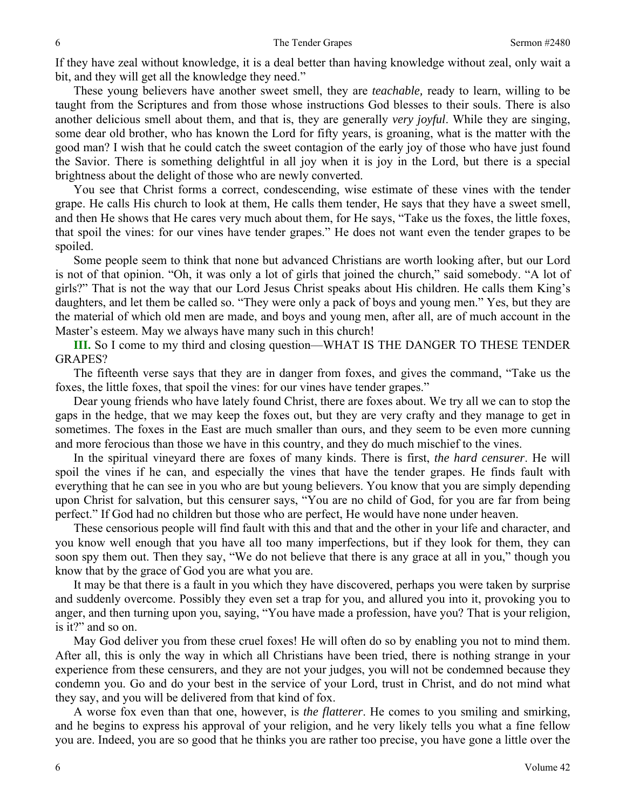If they have zeal without knowledge, it is a deal better than having knowledge without zeal, only wait a bit, and they will get all the knowledge they need."

These young believers have another sweet smell, they are *teachable,* ready to learn, willing to be taught from the Scriptures and from those whose instructions God blesses to their souls. There is also another delicious smell about them, and that is, they are generally *very joyful*. While they are singing, some dear old brother, who has known the Lord for fifty years, is groaning, what is the matter with the good man? I wish that he could catch the sweet contagion of the early joy of those who have just found the Savior. There is something delightful in all joy when it is joy in the Lord, but there is a special brightness about the delight of those who are newly converted.

You see that Christ forms a correct, condescending, wise estimate of these vines with the tender grape. He calls His church to look at them, He calls them tender, He says that they have a sweet smell, and then He shows that He cares very much about them, for He says, "Take us the foxes, the little foxes, that spoil the vines: for our vines have tender grapes." He does not want even the tender grapes to be spoiled.

Some people seem to think that none but advanced Christians are worth looking after, but our Lord is not of that opinion. "Oh, it was only a lot of girls that joined the church," said somebody. "A lot of girls?" That is not the way that our Lord Jesus Christ speaks about His children. He calls them King's daughters, and let them be called so. "They were only a pack of boys and young men." Yes, but they are the material of which old men are made, and boys and young men, after all, are of much account in the Master's esteem. May we always have many such in this church!

**III.** So I come to my third and closing question—WHAT IS THE DANGER TO THESE TENDER GRAPES?

The fifteenth verse says that they are in danger from foxes, and gives the command, "Take us the foxes, the little foxes, that spoil the vines: for our vines have tender grapes."

Dear young friends who have lately found Christ, there are foxes about. We try all we can to stop the gaps in the hedge, that we may keep the foxes out, but they are very crafty and they manage to get in sometimes. The foxes in the East are much smaller than ours, and they seem to be even more cunning and more ferocious than those we have in this country, and they do much mischief to the vines.

In the spiritual vineyard there are foxes of many kinds. There is first, *the hard censurer*. He will spoil the vines if he can, and especially the vines that have the tender grapes. He finds fault with everything that he can see in you who are but young believers. You know that you are simply depending upon Christ for salvation, but this censurer says, "You are no child of God, for you are far from being perfect." If God had no children but those who are perfect, He would have none under heaven.

These censorious people will find fault with this and that and the other in your life and character, and you know well enough that you have all too many imperfections, but if they look for them, they can soon spy them out. Then they say, "We do not believe that there is any grace at all in you," though you know that by the grace of God you are what you are.

It may be that there is a fault in you which they have discovered, perhaps you were taken by surprise and suddenly overcome. Possibly they even set a trap for you, and allured you into it, provoking you to anger, and then turning upon you, saying, "You have made a profession, have you? That is your religion, is it?" and so on.

May God deliver you from these cruel foxes! He will often do so by enabling you not to mind them. After all, this is only the way in which all Christians have been tried, there is nothing strange in your experience from these censurers, and they are not your judges, you will not be condemned because they condemn you. Go and do your best in the service of your Lord, trust in Christ, and do not mind what they say, and you will be delivered from that kind of fox.

A worse fox even than that one, however, is *the flatterer*. He comes to you smiling and smirking, and he begins to express his approval of your religion, and he very likely tells you what a fine fellow you are. Indeed, you are so good that he thinks you are rather too precise, you have gone a little over the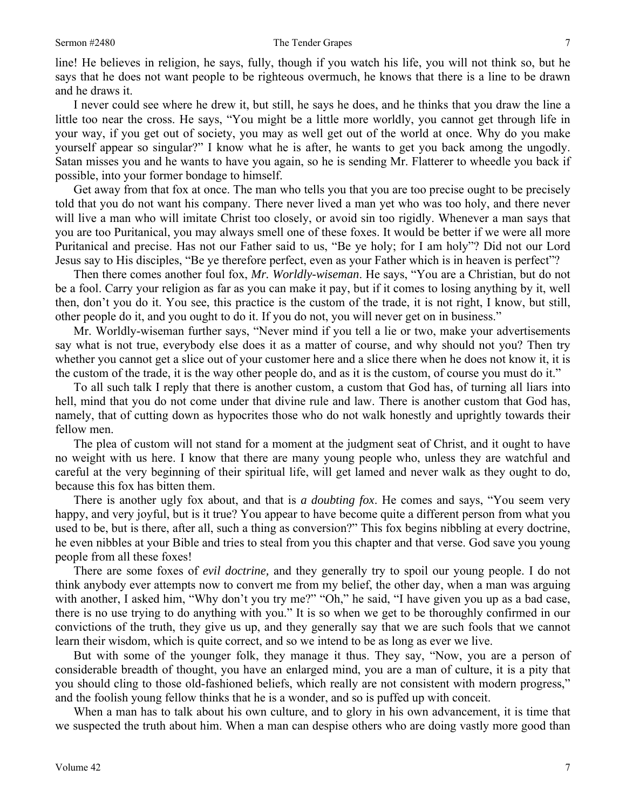line! He believes in religion, he says, fully, though if you watch his life, you will not think so, but he says that he does not want people to be righteous overmuch, he knows that there is a line to be drawn and he draws it.

I never could see where he drew it, but still, he says he does, and he thinks that you draw the line a little too near the cross. He says, "You might be a little more worldly, you cannot get through life in your way, if you get out of society, you may as well get out of the world at once. Why do you make yourself appear so singular?" I know what he is after, he wants to get you back among the ungodly. Satan misses you and he wants to have you again, so he is sending Mr. Flatterer to wheedle you back if possible, into your former bondage to himself.

Get away from that fox at once. The man who tells you that you are too precise ought to be precisely told that you do not want his company. There never lived a man yet who was too holy, and there never will live a man who will imitate Christ too closely, or avoid sin too rigidly. Whenever a man says that you are too Puritanical, you may always smell one of these foxes. It would be better if we were all more Puritanical and precise. Has not our Father said to us, "Be ye holy; for I am holy"? Did not our Lord Jesus say to His disciples, "Be ye therefore perfect, even as your Father which is in heaven is perfect"?

Then there comes another foul fox, *Mr. Worldly-wiseman*. He says, "You are a Christian, but do not be a fool. Carry your religion as far as you can make it pay, but if it comes to losing anything by it, well then, don't you do it. You see, this practice is the custom of the trade, it is not right, I know, but still, other people do it, and you ought to do it. If you do not, you will never get on in business."

Mr. Worldly-wiseman further says, "Never mind if you tell a lie or two, make your advertisements say what is not true, everybody else does it as a matter of course, and why should not you? Then try whether you cannot get a slice out of your customer here and a slice there when he does not know it, it is the custom of the trade, it is the way other people do, and as it is the custom, of course you must do it."

To all such talk I reply that there is another custom, a custom that God has, of turning all liars into hell, mind that you do not come under that divine rule and law. There is another custom that God has, namely, that of cutting down as hypocrites those who do not walk honestly and uprightly towards their fellow men.

The plea of custom will not stand for a moment at the judgment seat of Christ, and it ought to have no weight with us here. I know that there are many young people who, unless they are watchful and careful at the very beginning of their spiritual life, will get lamed and never walk as they ought to do, because this fox has bitten them.

There is another ugly fox about, and that is *a doubting fox*. He comes and says, "You seem very happy, and very joyful, but is it true? You appear to have become quite a different person from what you used to be, but is there, after all, such a thing as conversion?" This fox begins nibbling at every doctrine, he even nibbles at your Bible and tries to steal from you this chapter and that verse. God save you young people from all these foxes!

There are some foxes of *evil doctrine,* and they generally try to spoil our young people. I do not think anybody ever attempts now to convert me from my belief, the other day, when a man was arguing with another, I asked him, "Why don't you try me?" "Oh," he said, "I have given you up as a bad case, there is no use trying to do anything with you." It is so when we get to be thoroughly confirmed in our convictions of the truth, they give us up, and they generally say that we are such fools that we cannot learn their wisdom, which is quite correct, and so we intend to be as long as ever we live.

But with some of the younger folk, they manage it thus. They say, "Now, you are a person of considerable breadth of thought, you have an enlarged mind, you are a man of culture, it is a pity that you should cling to those old-fashioned beliefs, which really are not consistent with modern progress," and the foolish young fellow thinks that he is a wonder, and so is puffed up with conceit.

When a man has to talk about his own culture, and to glory in his own advancement, it is time that we suspected the truth about him. When a man can despise others who are doing vastly more good than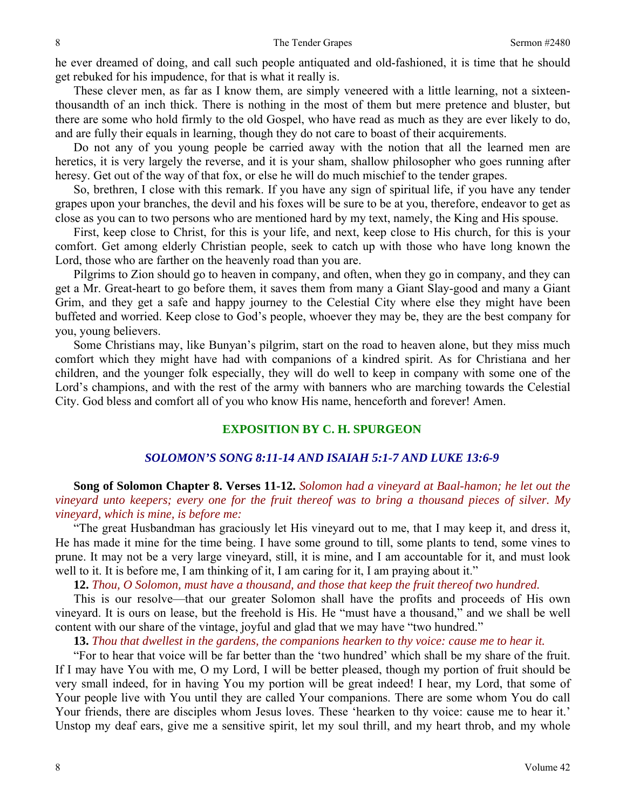he ever dreamed of doing, and call such people antiquated and old-fashioned, it is time that he should get rebuked for his impudence, for that is what it really is.

These clever men, as far as I know them, are simply veneered with a little learning, not a sixteenthousandth of an inch thick. There is nothing in the most of them but mere pretence and bluster, but there are some who hold firmly to the old Gospel, who have read as much as they are ever likely to do, and are fully their equals in learning, though they do not care to boast of their acquirements.

Do not any of you young people be carried away with the notion that all the learned men are heretics, it is very largely the reverse, and it is your sham, shallow philosopher who goes running after heresy. Get out of the way of that fox, or else he will do much mischief to the tender grapes.

So, brethren, I close with this remark. If you have any sign of spiritual life, if you have any tender grapes upon your branches, the devil and his foxes will be sure to be at you, therefore, endeavor to get as close as you can to two persons who are mentioned hard by my text, namely, the King and His spouse.

First, keep close to Christ, for this is your life, and next, keep close to His church, for this is your comfort. Get among elderly Christian people, seek to catch up with those who have long known the Lord, those who are farther on the heavenly road than you are.

Pilgrims to Zion should go to heaven in company, and often, when they go in company, and they can get a Mr. Great-heart to go before them, it saves them from many a Giant Slay-good and many a Giant Grim, and they get a safe and happy journey to the Celestial City where else they might have been buffeted and worried. Keep close to God's people, whoever they may be, they are the best company for you, young believers.

Some Christians may, like Bunyan's pilgrim, start on the road to heaven alone, but they miss much comfort which they might have had with companions of a kindred spirit. As for Christiana and her children, and the younger folk especially, they will do well to keep in company with some one of the Lord's champions, and with the rest of the army with banners who are marching towards the Celestial City. God bless and comfort all of you who know His name, henceforth and forever! Amen.

# **EXPOSITION BY C. H. SPURGEON**

## *SOLOMON'S SONG 8:11-14 AND ISAIAH 5:1-7 AND LUKE 13:6-9*

**Song of Solomon Chapter 8. Verses 11-12.** *Solomon had a vineyard at Baal-hamon; he let out the vineyard unto keepers; every one for the fruit thereof was to bring a thousand pieces of silver. My vineyard, which is mine, is before me:* 

"The great Husbandman has graciously let His vineyard out to me, that I may keep it, and dress it, He has made it mine for the time being. I have some ground to till, some plants to tend, some vines to prune. It may not be a very large vineyard, still, it is mine, and I am accountable for it, and must look well to it. It is before me, I am thinking of it, I am caring for it, I am praying about it."

**12.** *Thou, O Solomon, must have a thousand, and those that keep the fruit thereof two hundred.* 

This is our resolve—that our greater Solomon shall have the profits and proceeds of His own vineyard. It is ours on lease, but the freehold is His. He "must have a thousand," and we shall be well content with our share of the vintage, joyful and glad that we may have "two hundred."

**13.** *Thou that dwellest in the gardens, the companions hearken to thy voice: cause me to hear it.* 

"For to hear that voice will be far better than the 'two hundred' which shall be my share of the fruit. If I may have You with me, O my Lord, I will be better pleased, though my portion of fruit should be very small indeed, for in having You my portion will be great indeed! I hear, my Lord, that some of Your people live with You until they are called Your companions. There are some whom You do call Your friends, there are disciples whom Jesus loves. These 'hearken to thy voice: cause me to hear it.' Unstop my deaf ears, give me a sensitive spirit, let my soul thrill, and my heart throb, and my whole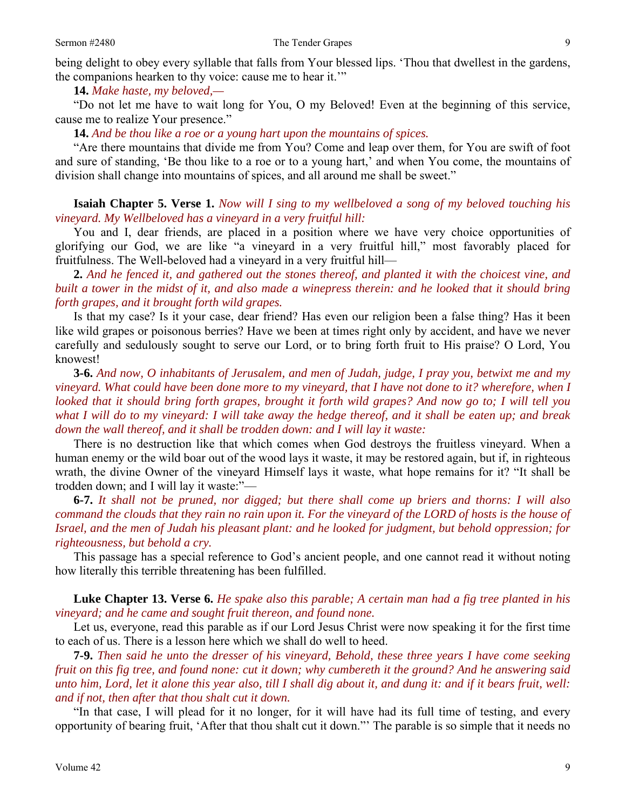**14.** *Make haste, my beloved,—* 

"Do not let me have to wait long for You, O my Beloved! Even at the beginning of this service, cause me to realize Your presence."

**14.** *And be thou like a roe or a young hart upon the mountains of spices.* 

"Are there mountains that divide me from You? Come and leap over them, for You are swift of foot and sure of standing, 'Be thou like to a roe or to a young hart,' and when You come, the mountains of division shall change into mountains of spices, and all around me shall be sweet."

**Isaiah Chapter 5. Verse 1.** *Now will I sing to my wellbeloved a song of my beloved touching his vineyard. My Wellbeloved has a vineyard in a very fruitful hill:*

You and I, dear friends, are placed in a position where we have very choice opportunities of glorifying our God, we are like "a vineyard in a very fruitful hill," most favorably placed for fruitfulness. The Well-beloved had a vineyard in a very fruitful hill—

**2.** *And he fenced it, and gathered out the stones thereof, and planted it with the choicest vine, and built a tower in the midst of it, and also made a winepress therein: and he looked that it should bring forth grapes, and it brought forth wild grapes.* 

Is that my case? Is it your case, dear friend? Has even our religion been a false thing? Has it been like wild grapes or poisonous berries? Have we been at times right only by accident, and have we never carefully and sedulously sought to serve our Lord, or to bring forth fruit to His praise? O Lord, You knowest!

**3-6.** *And now, O inhabitants of Jerusalem, and men of Judah, judge, I pray you, betwixt me and my vineyard. What could have been done more to my vineyard, that I have not done to it? wherefore, when I looked that it should bring forth grapes, brought it forth wild grapes? And now go to; I will tell you what I will do to my vineyard: I will take away the hedge thereof, and it shall be eaten up; and break down the wall thereof, and it shall be trodden down: and I will lay it waste:* 

There is no destruction like that which comes when God destroys the fruitless vineyard. When a human enemy or the wild boar out of the wood lays it waste, it may be restored again, but if, in righteous wrath, the divine Owner of the vineyard Himself lays it waste, what hope remains for it? "It shall be trodden down; and I will lay it waste:"—

**6-7.** *It shall not be pruned, nor digged; but there shall come up briers and thorns: I will also command the clouds that they rain no rain upon it. For the vineyard of the LORD of hosts is the house of Israel, and the men of Judah his pleasant plant: and he looked for judgment, but behold oppression; for righteousness, but behold a cry.* 

This passage has a special reference to God's ancient people, and one cannot read it without noting how literally this terrible threatening has been fulfilled.

**Luke Chapter 13. Verse 6.** *He spake also this parable; A certain man had a fig tree planted in his vineyard; and he came and sought fruit thereon, and found none.* 

Let us, everyone, read this parable as if our Lord Jesus Christ were now speaking it for the first time to each of us. There is a lesson here which we shall do well to heed.

**7-9.** *Then said he unto the dresser of his vineyard, Behold, these three years I have come seeking fruit on this fig tree, and found none: cut it down; why cumbereth it the ground? And he answering said unto him, Lord, let it alone this year also, till I shall dig about it, and dung it: and if it bears fruit, well: and if not, then after that thou shalt cut it down.* 

"In that case, I will plead for it no longer, for it will have had its full time of testing, and every opportunity of bearing fruit, 'After that thou shalt cut it down."' The parable is so simple that it needs no